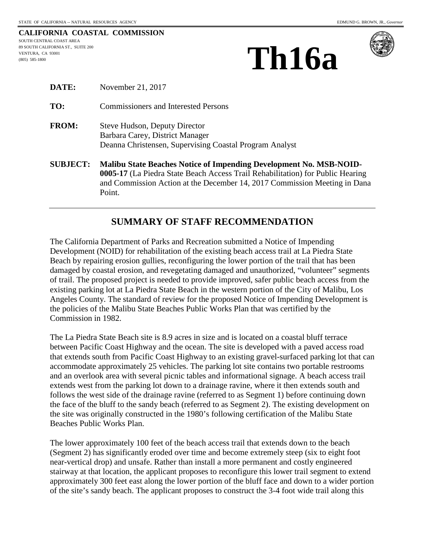(805) 585-1800

|                                    | CALIFORNIA COASTAL COMMISSION |
|------------------------------------|-------------------------------|
| SOUTH CENTRAL COAST AREA           |                               |
| 89 SOUTH CALIFORNIA ST., SUITE 200 |                               |
| VENTURA. CA 93001                  |                               |

Point.





| DATE:           | November 21, 2017                                                                                                                                                                                                                 |
|-----------------|-----------------------------------------------------------------------------------------------------------------------------------------------------------------------------------------------------------------------------------|
| TO:             | <b>Commissioners and Interested Persons</b>                                                                                                                                                                                       |
| <b>FROM:</b>    | Steve Hudson, Deputy Director<br>Barbara Carey, District Manager<br>Deanna Christensen, Supervising Coastal Program Analyst                                                                                                       |
| <b>SUBJECT:</b> | Malibu State Beaches Notice of Impending Development No. MSB-NOID-<br>0005-17 (La Piedra State Beach Access Trail Rehabilitation) for Public Hearing<br>and Commission Action at the December 14, 2017 Commission Meeting in Dana |

### **SUMMARY OF STAFF RECOMMENDATION**

The California Department of Parks and Recreation submitted a Notice of Impending Development (NOID) for rehabilitation of the existing beach access trail at La Piedra State Beach by repairing erosion gullies, reconfiguring the lower portion of the trail that has been damaged by coastal erosion, and revegetating damaged and unauthorized, "volunteer" segments of trail. The proposed project is needed to provide improved, safer public beach access from the existing parking lot at La Piedra State Beach in the western portion of the City of Malibu, Los Angeles County. The standard of review for the proposed Notice of Impending Development is the policies of the Malibu State Beaches Public Works Plan that was certified by the Commission in 1982.

The La Piedra State Beach site is 8.9 acres in size and is located on a coastal bluff terrace between Pacific Coast Highway and the ocean. The site is developed with a paved access road that extends south from Pacific Coast Highway to an existing gravel-surfaced parking lot that can accommodate approximately 25 vehicles. The parking lot site contains two portable restrooms and an overlook area with several picnic tables and informational signage. A beach access trail extends west from the parking lot down to a drainage ravine, where it then extends south and follows the west side of the drainage ravine (referred to as Segment 1) before continuing down the face of the bluff to the sandy beach (referred to as Segment 2). The existing development on the site was originally constructed in the 1980's following certification of the Malibu State Beaches Public Works Plan.

The lower approximately 100 feet of the beach access trail that extends down to the beach (Segment 2) has significantly eroded over time and become extremely steep (six to eight foot near-vertical drop) and unsafe. Rather than install a more permanent and costly engineered stairway at that location, the applicant proposes to reconfigure this lower trail segment to extend approximately 300 feet east along the lower portion of the bluff face and down to a wider portion of the site's sandy beach. The applicant proposes to construct the 3-4 foot wide trail along this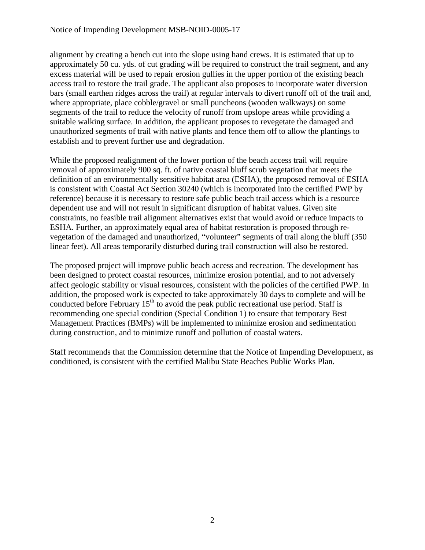alignment by creating a bench cut into the slope using hand crews. It is estimated that up to approximately 50 cu. yds. of cut grading will be required to construct the trail segment, and any excess material will be used to repair erosion gullies in the upper portion of the existing beach access trail to restore the trail grade. The applicant also proposes to incorporate water diversion bars (small earthen ridges across the trail) at regular intervals to divert runoff off of the trail and, where appropriate, place cobble/gravel or small puncheons (wooden walkways) on some segments of the trail to reduce the velocity of runoff from upslope areas while providing a suitable walking surface. In addition, the applicant proposes to revegetate the damaged and unauthorized segments of trail with native plants and fence them off to allow the plantings to establish and to prevent further use and degradation.

While the proposed realignment of the lower portion of the beach access trail will require removal of approximately 900 sq. ft. of native coastal bluff scrub vegetation that meets the definition of an environmentally sensitive habitat area (ESHA), the proposed removal of ESHA is consistent with Coastal Act Section 30240 (which is incorporated into the certified PWP by reference) because it is necessary to restore safe public beach trail access which is a resource dependent use and will not result in significant disruption of habitat values. Given site constraints, no feasible trail alignment alternatives exist that would avoid or reduce impacts to ESHA. Further, an approximately equal area of habitat restoration is proposed through revegetation of the damaged and unauthorized, "volunteer" segments of trail along the bluff (350 linear feet). All areas temporarily disturbed during trail construction will also be restored.

The proposed project will improve public beach access and recreation. The development has been designed to protect coastal resources, minimize erosion potential, and to not adversely affect geologic stability or visual resources, consistent with the policies of the certified PWP. In addition, the proposed work is expected to take approximately 30 days to complete and will be conducted before February  $15<sup>th</sup>$  to avoid the peak public recreational use period. Staff is recommending one special condition (Special Condition 1) to ensure that temporary Best Management Practices (BMPs) will be implemented to minimize erosion and sedimentation during construction, and to minimize runoff and pollution of coastal waters.

Staff recommends that the Commission determine that the Notice of Impending Development, as conditioned, is consistent with the certified Malibu State Beaches Public Works Plan.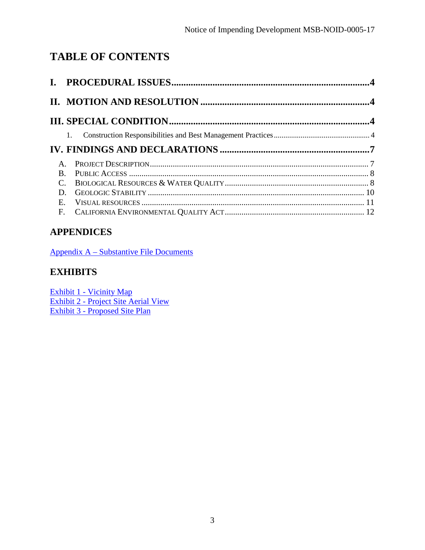# **TABLE OF CONTENTS**

|          | 1. |  |
|----------|----|--|
|          |    |  |
|          |    |  |
| $\bf{B}$ |    |  |
|          |    |  |
| D.       |    |  |
| Е.       |    |  |
|          |    |  |

# **APPENDICES**

[Appendix A – Substantive File Documents](#page-12-0)

# **EXHIBITS**

Exhibit 1 - Vicinity Map [Exhibit 2 - Project Site Aerial View](https://documents.coastal.ca.gov/reports/2017/12/Th16a/Th16a-12-2017-exhibits.pdf) Exhibit 3 - Proposed Site Plan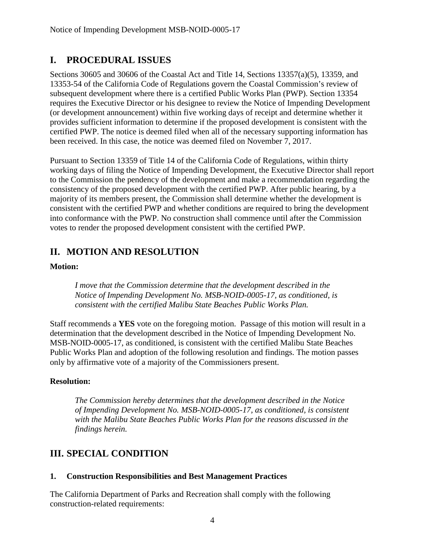### <span id="page-3-0"></span>**I. PROCEDURAL ISSUES**

Sections 30605 and 30606 of the Coastal Act and Title 14, Sections 13357(a)(5), 13359, and 13353-54 of the California Code of Regulations govern the Coastal Commission's review of subsequent development where there is a certified Public Works Plan (PWP). Section 13354 requires the Executive Director or his designee to review the Notice of Impending Development (or development announcement) within five working days of receipt and determine whether it provides sufficient information to determine if the proposed development is consistent with the certified PWP. The notice is deemed filed when all of the necessary supporting information has been received. In this case, the notice was deemed filed on November 7, 2017.

Pursuant to Section 13359 of Title 14 of the California Code of Regulations, within thirty working days of filing the Notice of Impending Development, the Executive Director shall report to the Commission the pendency of the development and make a recommendation regarding the consistency of the proposed development with the certified PWP. After public hearing, by a majority of its members present, the Commission shall determine whether the development is consistent with the certified PWP and whether conditions are required to bring the development into conformance with the PWP. No construction shall commence until after the Commission votes to render the proposed development consistent with the certified PWP.

### <span id="page-3-1"></span>**II. MOTION AND RESOLUTION**

#### **Motion:**

*I move that the Commission determine that the development described in the Notice of Impending Development No. MSB-NOID-0005-17, as conditioned, is consistent with the certified Malibu State Beaches Public Works Plan.* 

Staff recommends a **YES** vote on the foregoing motion. Passage of this motion will result in a determination that the development described in the Notice of Impending Development No. MSB-NOID-0005-17, as conditioned, is consistent with the certified Malibu State Beaches Public Works Plan and adoption of the following resolution and findings. The motion passes only by affirmative vote of a majority of the Commissioners present.

#### **Resolution:**

*The Commission hereby determines that the development described in the Notice of Impending Development No. MSB-NOID-0005-17, as conditioned, is consistent with the Malibu State Beaches Public Works Plan for the reasons discussed in the findings herein.* 

### <span id="page-3-2"></span>**III. SPECIAL CONDITION**

#### <span id="page-3-3"></span>**1. Construction Responsibilities and Best Management Practices**

The California Department of Parks and Recreation shall comply with the following construction-related requirements: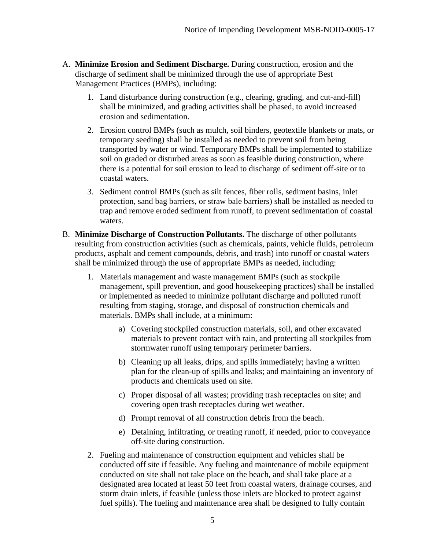- A. **Minimize Erosion and Sediment Discharge.** During construction, erosion and the discharge of sediment shall be minimized through the use of appropriate Best Management Practices (BMPs), including:
	- 1. Land disturbance during construction (e.g., clearing, grading, and cut-and-fill) shall be minimized, and grading activities shall be phased, to avoid increased erosion and sedimentation.
	- 2. Erosion control BMPs (such as mulch, soil binders, geotextile blankets or mats, or temporary seeding) shall be installed as needed to prevent soil from being transported by water or wind. Temporary BMPs shall be implemented to stabilize soil on graded or disturbed areas as soon as feasible during construction, where there is a potential for soil erosion to lead to discharge of sediment off-site or to coastal waters.
	- 3. Sediment control BMPs (such as silt fences, fiber rolls, sediment basins, inlet protection, sand bag barriers, or straw bale barriers) shall be installed as needed to trap and remove eroded sediment from runoff, to prevent sedimentation of coastal waters.
- B. **Minimize Discharge of Construction Pollutants.** The discharge of other pollutants resulting from construction activities (such as chemicals, paints, vehicle fluids, petroleum products, asphalt and cement compounds, debris, and trash) into runoff or coastal waters shall be minimized through the use of appropriate BMPs as needed, including:
	- 1. Materials management and waste management BMPs (such as stockpile management, spill prevention, and good housekeeping practices) shall be installed or implemented as needed to minimize pollutant discharge and polluted runoff resulting from staging, storage, and disposal of construction chemicals and materials. BMPs shall include, at a minimum:
		- a) Covering stockpiled construction materials, soil, and other excavated materials to prevent contact with rain, and protecting all stockpiles from stormwater runoff using temporary perimeter barriers.
		- b) Cleaning up all leaks, drips, and spills immediately; having a written plan for the clean-up of spills and leaks; and maintaining an inventory of products and chemicals used on site.
		- c) Proper disposal of all wastes; providing trash receptacles on site; and covering open trash receptacles during wet weather.
		- d) Prompt removal of all construction debris from the beach.
		- e) Detaining, infiltrating, or treating runoff, if needed, prior to conveyance off-site during construction.
	- 2. Fueling and maintenance of construction equipment and vehicles shall be conducted off site if feasible. Any fueling and maintenance of mobile equipment conducted on site shall not take place on the beach, and shall take place at a designated area located at least 50 feet from coastal waters, drainage courses, and storm drain inlets, if feasible (unless those inlets are blocked to protect against fuel spills). The fueling and maintenance area shall be designed to fully contain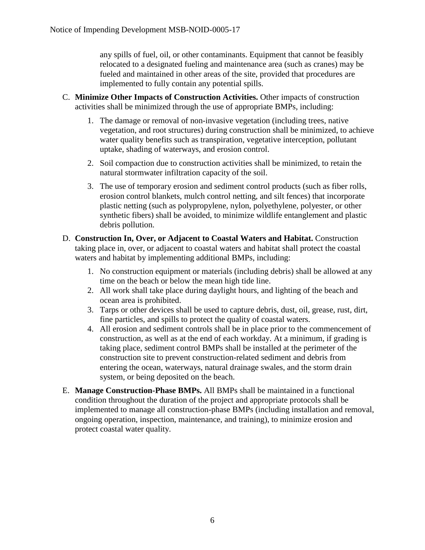any spills of fuel, oil, or other contaminants. Equipment that cannot be feasibly relocated to a designated fueling and maintenance area (such as cranes) may be fueled and maintained in other areas of the site, provided that procedures are implemented to fully contain any potential spills.

- C. **Minimize Other Impacts of Construction Activities.** Other impacts of construction activities shall be minimized through the use of appropriate BMPs, including:
	- 1. The damage or removal of non-invasive vegetation (including trees, native vegetation, and root structures) during construction shall be minimized, to achieve water quality benefits such as transpiration, vegetative interception, pollutant uptake, shading of waterways, and erosion control.
	- 2. Soil compaction due to construction activities shall be minimized, to retain the natural stormwater infiltration capacity of the soil.
	- 3. The use of temporary erosion and sediment control products (such as fiber rolls, erosion control blankets, mulch control netting, and silt fences) that incorporate plastic netting (such as polypropylene, nylon, polyethylene, polyester, or other synthetic fibers) shall be avoided, to minimize wildlife entanglement and plastic debris pollution.
- D. **Construction In, Over, or Adjacent to Coastal Waters and Habitat.** Construction taking place in, over, or adjacent to coastal waters and habitat shall protect the coastal waters and habitat by implementing additional BMPs, including:
	- 1. No construction equipment or materials (including debris) shall be allowed at any time on the beach or below the mean high tide line.
	- 2. All work shall take place during daylight hours, and lighting of the beach and ocean area is prohibited.
	- 3. Tarps or other devices shall be used to capture debris, dust, oil, grease, rust, dirt, fine particles, and spills to protect the quality of coastal waters.
	- 4. All erosion and sediment controls shall be in place prior to the commencement of construction, as well as at the end of each workday. At a minimum, if grading is taking place, sediment control BMPs shall be installed at the perimeter of the construction site to prevent construction-related sediment and debris from entering the ocean, waterways, natural drainage swales, and the storm drain system, or being deposited on the beach.
- E. **Manage Construction-Phase BMPs.** All BMPs shall be maintained in a functional condition throughout the duration of the project and appropriate protocols shall be implemented to manage all construction-phase BMPs (including installation and removal, ongoing operation, inspection, maintenance, and training), to minimize erosion and protect coastal water quality.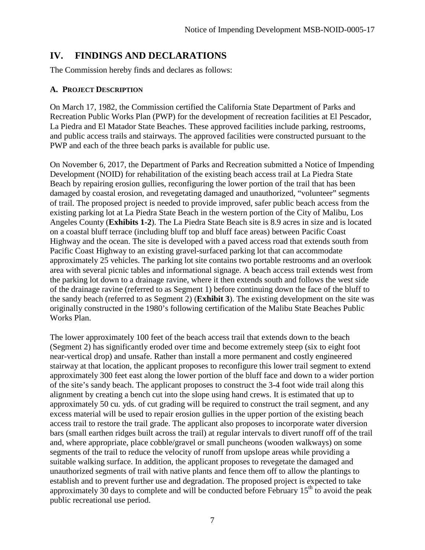### <span id="page-6-0"></span>**IV. FINDINGS AND DECLARATIONS**

The Commission hereby finds and declares as follows:

### <span id="page-6-1"></span>**A. PROJECT DESCRIPTION**

On March 17, 1982, the Commission certified the California State Department of Parks and Recreation Public Works Plan (PWP) for the development of recreation facilities at El Pescador, La Piedra and El Matador State Beaches. These approved facilities include parking, restrooms, and public access trails and stairways. The approved facilities were constructed pursuant to the PWP and each of the three beach parks is available for public use.

On November 6, 2017, the Department of Parks and Recreation submitted a Notice of Impending Development (NOID) for rehabilitation of the existing beach access trail at La Piedra State Beach by repairing erosion gullies, reconfiguring the lower portion of the trail that has been damaged by coastal erosion, and revegetating damaged and unauthorized, "volunteer" segments of trail. The proposed project is needed to provide improved, safer public beach access from the existing parking lot at La Piedra State Beach in the western portion of the City of Malibu, Los Angeles County (**Exhibits 1-2**). The La Piedra State Beach site is 8.9 acres in size and is located on a coastal bluff terrace (including bluff top and bluff face areas) between Pacific Coast Highway and the ocean. The site is developed with a paved access road that extends south from Pacific Coast Highway to an existing gravel-surfaced parking lot that can accommodate approximately 25 vehicles. The parking lot site contains two portable restrooms and an overlook area with several picnic tables and informational signage. A beach access trail extends west from the parking lot down to a drainage ravine, where it then extends south and follows the west side of the drainage ravine (referred to as Segment 1) before continuing down the face of the bluff to the sandy beach (referred to as Segment 2) (**Exhibit 3**). The existing development on the site was originally constructed in the 1980's following certification of the Malibu State Beaches Public Works Plan.

The lower approximately 100 feet of the beach access trail that extends down to the beach (Segment 2) has significantly eroded over time and become extremely steep (six to eight foot near-vertical drop) and unsafe. Rather than install a more permanent and costly engineered stairway at that location, the applicant proposes to reconfigure this lower trail segment to extend approximately 300 feet east along the lower portion of the bluff face and down to a wider portion of the site's sandy beach. The applicant proposes to construct the 3-4 foot wide trail along this alignment by creating a bench cut into the slope using hand crews. It is estimated that up to approximately 50 cu. yds. of cut grading will be required to construct the trail segment, and any excess material will be used to repair erosion gullies in the upper portion of the existing beach access trail to restore the trail grade. The applicant also proposes to incorporate water diversion bars (small earthen ridges built across the trail) at regular intervals to divert runoff off of the trail and, where appropriate, place cobble/gravel or small puncheons (wooden walkways) on some segments of the trail to reduce the velocity of runoff from upslope areas while providing a suitable walking surface. In addition, the applicant proposes to revegetate the damaged and unauthorized segments of trail with native plants and fence them off to allow the plantings to establish and to prevent further use and degradation. The proposed project is expected to take approximately 30 days to complete and will be conducted before February  $15<sup>th</sup>$  to avoid the peak public recreational use period.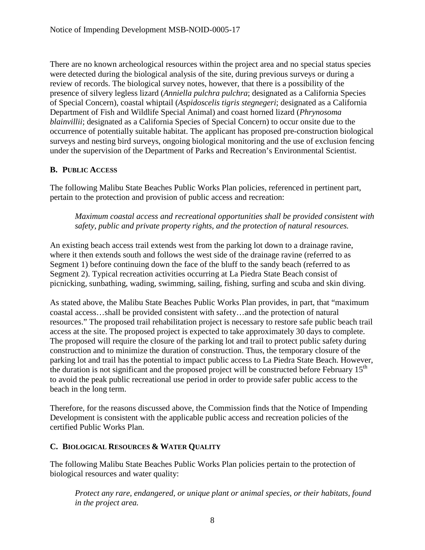There are no known archeological resources within the project area and no special status species were detected during the biological analysis of the site, during previous surveys or during a review of records. The biological survey notes, however, that there is a possibility of the presence of silvery legless lizard (*Anniella pulchra pulchra*; designated as a California Species of Special Concern), coastal whiptail (*Aspidoscelis tigris stegnegeri*; designated as a California Department of Fish and Wildlife Special Animal) and coast horned lizard (*Phrynosoma blainvillii*; designated as a California Species of Special Concern) to occur onsite due to the occurrence of potentially suitable habitat. The applicant has proposed pre-construction biological surveys and nesting bird surveys, ongoing biological monitoring and the use of exclusion fencing under the supervision of the Department of Parks and Recreation's Environmental Scientist.

#### <span id="page-7-0"></span>**B. PUBLIC ACCESS**

The following Malibu State Beaches Public Works Plan policies, referenced in pertinent part, pertain to the protection and provision of public access and recreation:

*Maximum coastal access and recreational opportunities shall be provided consistent with safety, public and private property rights, and the protection of natural resources.* 

An existing beach access trail extends west from the parking lot down to a drainage ravine, where it then extends south and follows the west side of the drainage ravine (referred to as Segment 1) before continuing down the face of the bluff to the sandy beach (referred to as Segment 2). Typical recreation activities occurring at La Piedra State Beach consist of picnicking, sunbathing, wading, swimming, sailing, fishing, surfing and scuba and skin diving.

As stated above, the Malibu State Beaches Public Works Plan provides, in part, that "maximum coastal access…shall be provided consistent with safety…and the protection of natural resources." The proposed trail rehabilitation project is necessary to restore safe public beach trail access at the site. The proposed project is expected to take approximately 30 days to complete. The proposed will require the closure of the parking lot and trail to protect public safety during construction and to minimize the duration of construction. Thus, the temporary closure of the parking lot and trail has the potential to impact public access to La Piedra State Beach. However, the duration is not significant and the proposed project will be constructed before February  $15<sup>th</sup>$ to avoid the peak public recreational use period in order to provide safer public access to the beach in the long term.

Therefore, for the reasons discussed above, the Commission finds that the Notice of Impending Development is consistent with the applicable public access and recreation policies of the certified Public Works Plan.

### <span id="page-7-1"></span>**C. BIOLOGICAL RESOURCES & WATER QUALITY**

The following Malibu State Beaches Public Works Plan policies pertain to the protection of biological resources and water quality:

*Protect any rare, endangered, or unique plant or animal species, or their habitats, found in the project area.*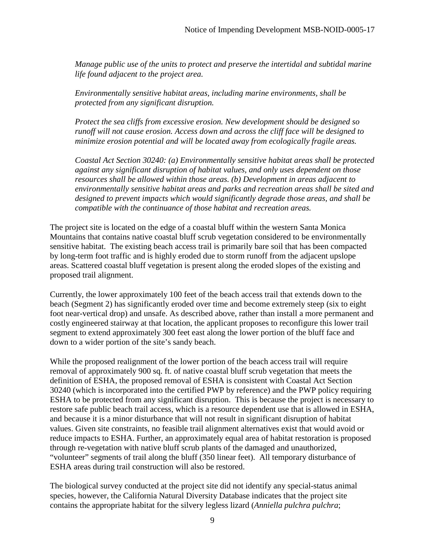*Manage public use of the units to protect and preserve the intertidal and subtidal marine life found adjacent to the project area.* 

*Environmentally sensitive habitat areas, including marine environments, shall be protected from any significant disruption.* 

*Protect the sea cliffs from excessive erosion. New development should be designed so runoff will not cause erosion. Access down and across the cliff face will be designed to minimize erosion potential and will be located away from ecologically fragile areas.* 

*Coastal Act Section 30240: (a) Environmentally sensitive habitat areas shall be protected against any significant disruption of habitat values, and only uses dependent on those resources shall be allowed within those areas. (b) Development in areas adjacent to environmentally sensitive habitat areas and parks and recreation areas shall be sited and designed to prevent impacts which would significantly degrade those areas, and shall be compatible with the continuance of those habitat and recreation areas.* 

The project site is located on the edge of a coastal bluff within the western Santa Monica Mountains that contains native coastal bluff scrub vegetation considered to be environmentally sensitive habitat. The existing beach access trail is primarily bare soil that has been compacted by long-term foot traffic and is highly eroded due to storm runoff from the adjacent upslope areas. Scattered coastal bluff vegetation is present along the eroded slopes of the existing and proposed trail alignment.

Currently, the lower approximately 100 feet of the beach access trail that extends down to the beach (Segment 2) has significantly eroded over time and become extremely steep (six to eight foot near-vertical drop) and unsafe. As described above, rather than install a more permanent and costly engineered stairway at that location, the applicant proposes to reconfigure this lower trail segment to extend approximately 300 feet east along the lower portion of the bluff face and down to a wider portion of the site's sandy beach.

While the proposed realignment of the lower portion of the beach access trail will require removal of approximately 900 sq. ft. of native coastal bluff scrub vegetation that meets the definition of ESHA, the proposed removal of ESHA is consistent with Coastal Act Section 30240 (which is incorporated into the certified PWP by reference) and the PWP policy requiring ESHA to be protected from any significant disruption. This is because the project is necessary to restore safe public beach trail access, which is a resource dependent use that is allowed in ESHA, and because it is a minor disturbance that will not result in significant disruption of habitat values. Given site constraints, no feasible trail alignment alternatives exist that would avoid or reduce impacts to ESHA. Further, an approximately equal area of habitat restoration is proposed through re-vegetation with native bluff scrub plants of the damaged and unauthorized, "volunteer" segments of trail along the bluff (350 linear feet). All temporary disturbance of ESHA areas during trail construction will also be restored.

The biological survey conducted at the project site did not identify any special-status animal species, however, the California Natural Diversity Database indicates that the project site contains the appropriate habitat for the silvery legless lizard (*Anniella pulchra pulchra*;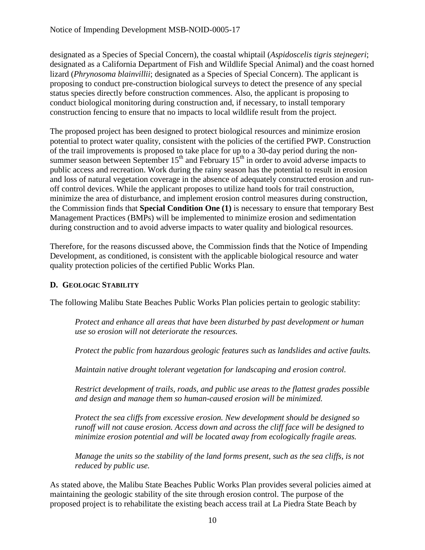designated as a Species of Special Concern), the coastal whiptail (*Aspidoscelis tigris stejnegeri*; designated as a California Department of Fish and Wildlife Special Animal) and the coast horned lizard (*Phrynosoma blainvillii*; designated as a Species of Special Concern). The applicant is proposing to conduct pre-construction biological surveys to detect the presence of any special status species directly before construction commences. Also, the applicant is proposing to conduct biological monitoring during construction and, if necessary, to install temporary construction fencing to ensure that no impacts to local wildlife result from the project.

The proposed project has been designed to protect biological resources and minimize erosion potential to protect water quality, consistent with the policies of the certified PWP. Construction of the trail improvements is proposed to take place for up to a 30-day period during the nonsummer season between September  $15<sup>th</sup>$  and February  $15<sup>th</sup>$  in order to avoid adverse impacts to public access and recreation. Work during the rainy season has the potential to result in erosion and loss of natural vegetation coverage in the absence of adequately constructed erosion and runoff control devices. While the applicant proposes to utilize hand tools for trail construction, minimize the area of disturbance, and implement erosion control measures during construction, the Commission finds that **Special Condition One (1)** is necessary to ensure that temporary Best Management Practices (BMPs) will be implemented to minimize erosion and sedimentation during construction and to avoid adverse impacts to water quality and biological resources.

Therefore, for the reasons discussed above, the Commission finds that the Notice of Impending Development, as conditioned, is consistent with the applicable biological resource and water quality protection policies of the certified Public Works Plan.

### <span id="page-9-0"></span>**D. GEOLOGIC STABILITY**

The following Malibu State Beaches Public Works Plan policies pertain to geologic stability:

*Protect and enhance all areas that have been disturbed by past development or human use so erosion will not deteriorate the resources.* 

*Protect the public from hazardous geologic features such as landslides and active faults.* 

*Maintain native drought tolerant vegetation for landscaping and erosion control.* 

*Restrict development of trails, roads, and public use areas to the flattest grades possible and design and manage them so human-caused erosion will be minimized.* 

*Protect the sea cliffs from excessive erosion. New development should be designed so runoff will not cause erosion. Access down and across the cliff face will be designed to minimize erosion potential and will be located away from ecologically fragile areas.* 

*Manage the units so the stability of the land forms present, such as the sea cliffs, is not reduced by public use.* 

As stated above, the Malibu State Beaches Public Works Plan provides several policies aimed at maintaining the geologic stability of the site through erosion control. The purpose of the proposed project is to rehabilitate the existing beach access trail at La Piedra State Beach by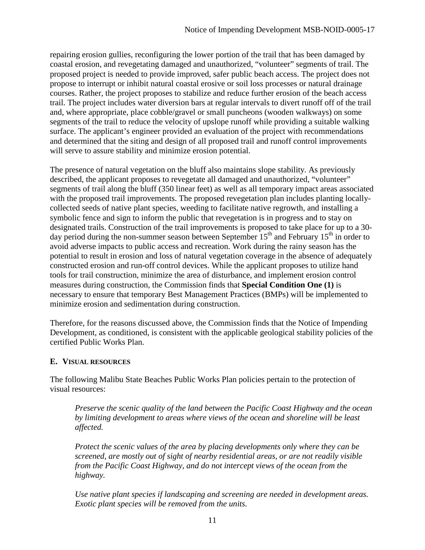repairing erosion gullies, reconfiguring the lower portion of the trail that has been damaged by coastal erosion, and revegetating damaged and unauthorized, "volunteer" segments of trail. The proposed project is needed to provide improved, safer public beach access. The project does not propose to interrupt or inhibit natural coastal erosive or soil loss processes or natural drainage courses. Rather, the project proposes to stabilize and reduce further erosion of the beach access trail. The project includes water diversion bars at regular intervals to divert runoff off of the trail and, where appropriate, place cobble/gravel or small puncheons (wooden walkways) on some segments of the trail to reduce the velocity of upslope runoff while providing a suitable walking surface. The applicant's engineer provided an evaluation of the project with recommendations and determined that the siting and design of all proposed trail and runoff control improvements will serve to assure stability and minimize erosion potential.

The presence of natural vegetation on the bluff also maintains slope stability. As previously described, the applicant proposes to revegetate all damaged and unauthorized, "volunteer" segments of trail along the bluff (350 linear feet) as well as all temporary impact areas associated with the proposed trail improvements. The proposed revegetation plan includes planting locallycollected seeds of native plant species, weeding to facilitate native regrowth, and installing a symbolic fence and sign to inform the public that revegetation is in progress and to stay on designated trails. Construction of the trail improvements is proposed to take place for up to a 30 day period during the non-summer season between September  $15<sup>th</sup>$  and February  $15<sup>th</sup>$  in order to avoid adverse impacts to public access and recreation. Work during the rainy season has the potential to result in erosion and loss of natural vegetation coverage in the absence of adequately constructed erosion and run-off control devices. While the applicant proposes to utilize hand tools for trail construction, minimize the area of disturbance, and implement erosion control measures during construction, the Commission finds that **Special Condition One (1)** is necessary to ensure that temporary Best Management Practices (BMPs) will be implemented to minimize erosion and sedimentation during construction.

Therefore, for the reasons discussed above, the Commission finds that the Notice of Impending Development, as conditioned, is consistent with the applicable geological stability policies of the certified Public Works Plan.

### <span id="page-10-0"></span>**E. VISUAL RESOURCES**

The following Malibu State Beaches Public Works Plan policies pertain to the protection of visual resources:

*Preserve the scenic quality of the land between the Pacific Coast Highway and the ocean by limiting development to areas where views of the ocean and shoreline will be least affected.* 

*Protect the scenic values of the area by placing developments only where they can be screened, are mostly out of sight of nearby residential areas, or are not readily visible from the Pacific Coast Highway, and do not intercept views of the ocean from the highway.* 

*Use native plant species if landscaping and screening are needed in development areas. Exotic plant species will be removed from the units.*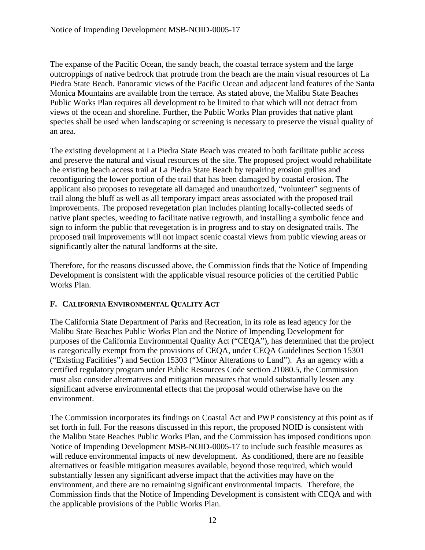The expanse of the Pacific Ocean, the sandy beach, the coastal terrace system and the large outcroppings of native bedrock that protrude from the beach are the main visual resources of La Piedra State Beach. Panoramic views of the Pacific Ocean and adjacent land features of the Santa Monica Mountains are available from the terrace. As stated above, the Malibu State Beaches Public Works Plan requires all development to be limited to that which will not detract from views of the ocean and shoreline. Further, the Public Works Plan provides that native plant species shall be used when landscaping or screening is necessary to preserve the visual quality of an area.

The existing development at La Piedra State Beach was created to both facilitate public access and preserve the natural and visual resources of the site. The proposed project would rehabilitate the existing beach access trail at La Piedra State Beach by repairing erosion gullies and reconfiguring the lower portion of the trail that has been damaged by coastal erosion. The applicant also proposes to revegetate all damaged and unauthorized, "volunteer" segments of trail along the bluff as well as all temporary impact areas associated with the proposed trail improvements. The proposed revegetation plan includes planting locally-collected seeds of native plant species, weeding to facilitate native regrowth, and installing a symbolic fence and sign to inform the public that revegetation is in progress and to stay on designated trails. The proposed trail improvements will not impact scenic coastal views from public viewing areas or significantly alter the natural landforms at the site.

Therefore, for the reasons discussed above, the Commission finds that the Notice of Impending Development is consistent with the applicable visual resource policies of the certified Public Works Plan.

### <span id="page-11-0"></span>**F. CALIFORNIA ENVIRONMENTAL QUALITY ACT**

The California State Department of Parks and Recreation, in its role as lead agency for the Malibu State Beaches Public Works Plan and the Notice of Impending Development for purposes of the California Environmental Quality Act ("CEQA"), has determined that the project is categorically exempt from the provisions of CEQA, under CEQA Guidelines Section 15301 ("Existing Facilities") and Section 15303 ("Minor Alterations to Land"). As an agency with a certified regulatory program under Public Resources Code section 21080.5, the Commission must also consider alternatives and mitigation measures that would substantially lessen any significant adverse environmental effects that the proposal would otherwise have on the environment.

The Commission incorporates its findings on Coastal Act and PWP consistency at this point as if set forth in full. For the reasons discussed in this report, the proposed NOID is consistent with the Malibu State Beaches Public Works Plan, and the Commission has imposed conditions upon Notice of Impending Development MSB-NOID-0005-17 to include such feasible measures as will reduce environmental impacts of new development. As conditioned, there are no feasible alternatives or feasible mitigation measures available, beyond those required, which would substantially lessen any significant adverse impact that the activities may have on the environment, and there are no remaining significant environmental impacts. Therefore, the Commission finds that the Notice of Impending Development is consistent with CEQA and with the applicable provisions of the Public Works Plan.